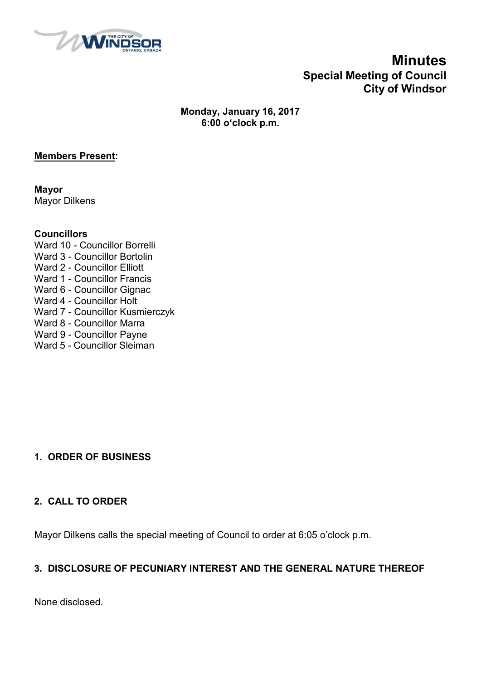

## **Minutes Special Meeting of Council City of Windsor**

**Monday, January 16, 2017 6:00 o'clock p.m.**

#### **Members Present:**

**Mayor** Mayor Dilkens

#### **Councillors**

Ward 10 - Councillor Borrelli Ward 3 - Councillor Bortolin Ward 2 - Councillor Elliott Ward 1 - Councillor Francis Ward 6 - Councillor Gignac Ward 4 - Councillor Holt Ward 7 - Councillor Kusmierczyk Ward 8 - Councillor Marra Ward 9 - Councillor Payne Ward 5 - Councillor Sleiman

### **1. ORDER OF BUSINESS**

#### **2. CALL TO ORDER**

Mayor Dilkens calls the special meeting of Council to order at 6:05 o'clock p.m.

### **3. DISCLOSURE OF PECUNIARY INTEREST AND THE GENERAL NATURE THEREOF**

None disclosed.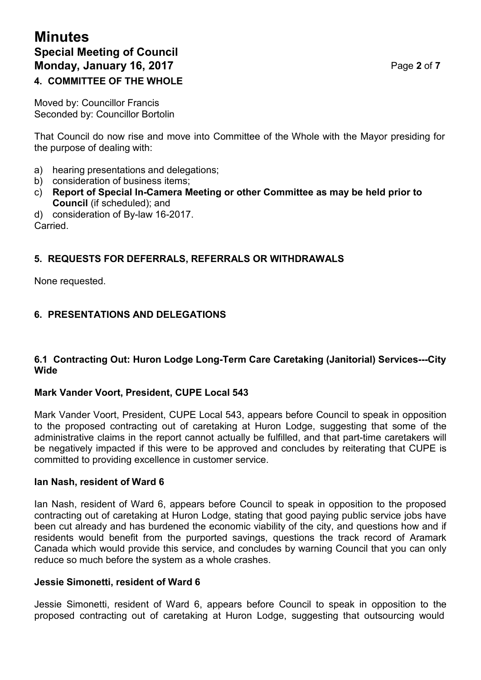# **Minutes Special Meeting of Council Monday, January 16, 2017 Page 2** of 7

### **4. COMMITTEE OF THE WHOLE**

Moved by: Councillor Francis Seconded by: Councillor Bortolin

That Council do now rise and move into Committee of the Whole with the Mayor presiding for the purpose of dealing with:

- a) hearing presentations and delegations;
- b) consideration of business items;
- c) **Report of Special In-Camera Meeting or other Committee as may be held prior to Council** (if scheduled); and
- d) consideration of By-law 16-2017.

Carried.

#### **5. REQUESTS FOR DEFERRALS, REFERRALS OR WITHDRAWALS**

None requested.

#### **6. PRESENTATIONS AND DELEGATIONS**

#### **6.1 Contracting Out: Huron Lodge Long-Term Care Caretaking (Janitorial) Services---City Wide**

#### **Mark Vander Voort, President, CUPE Local 543**

Mark Vander Voort, President, CUPE Local 543, appears before Council to speak in opposition to the proposed contracting out of caretaking at Huron Lodge, suggesting that some of the administrative claims in the report cannot actually be fulfilled, and that part-time caretakers will be negatively impacted if this were to be approved and concludes by reiterating that CUPE is committed to providing excellence in customer service.

#### **Ian Nash, resident of Ward 6**

Ian Nash, resident of Ward 6, appears before Council to speak in opposition to the proposed contracting out of caretaking at Huron Lodge, stating that good paying public service jobs have been cut already and has burdened the economic viability of the city, and questions how and if residents would benefit from the purported savings, questions the track record of Aramark Canada which would provide this service, and concludes by warning Council that you can only reduce so much before the system as a whole crashes.

#### **Jessie Simonetti, resident of Ward 6**

Jessie Simonetti, resident of Ward 6, appears before Council to speak in opposition to the proposed contracting out of caretaking at Huron Lodge, suggesting that outsourcing would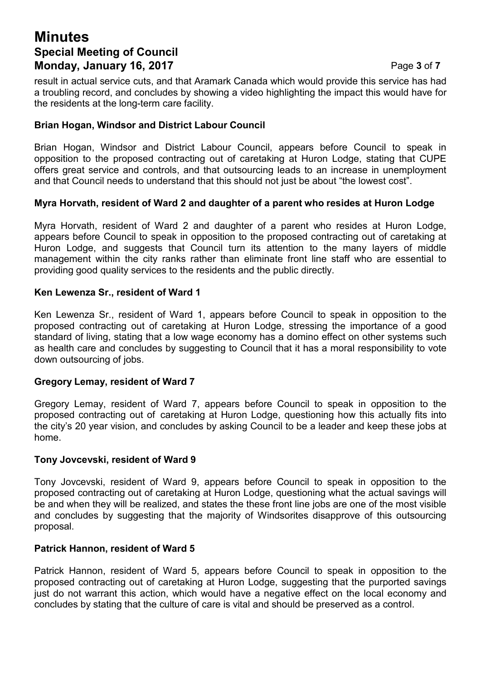## **Minutes Special Meeting of Council Monday, January 16, 2017 Page 3 of 7 Page 3 of 7**

result in actual service cuts, and that Aramark Canada which would provide this service has had a troubling record, and concludes by showing a video highlighting the impact this would have for the residents at the long-term care facility.

#### **Brian Hogan, Windsor and District Labour Council**

Brian Hogan, Windsor and District Labour Council, appears before Council to speak in opposition to the proposed contracting out of caretaking at Huron Lodge, stating that CUPE offers great service and controls, and that outsourcing leads to an increase in unemployment and that Council needs to understand that this should not just be about "the lowest cost".

#### **Myra Horvath, resident of Ward 2 and daughter of a parent who resides at Huron Lodge**

Myra Horvath, resident of Ward 2 and daughter of a parent who resides at Huron Lodge, appears before Council to speak in opposition to the proposed contracting out of caretaking at Huron Lodge, and suggests that Council turn its attention to the many layers of middle management within the city ranks rather than eliminate front line staff who are essential to providing good quality services to the residents and the public directly.

#### **Ken Lewenza Sr., resident of Ward 1**

Ken Lewenza Sr., resident of Ward 1, appears before Council to speak in opposition to the proposed contracting out of caretaking at Huron Lodge, stressing the importance of a good standard of living, stating that a low wage economy has a domino effect on other systems such as health care and concludes by suggesting to Council that it has a moral responsibility to vote down outsourcing of jobs.

#### **Gregory Lemay, resident of Ward 7**

Gregory Lemay, resident of Ward 7, appears before Council to speak in opposition to the proposed contracting out of caretaking at Huron Lodge, questioning how this actually fits into the city's 20 year vision, and concludes by asking Council to be a leader and keep these jobs at home.

#### **Tony Jovcevski, resident of Ward 9**

Tony Jovcevski, resident of Ward 9, appears before Council to speak in opposition to the proposed contracting out of caretaking at Huron Lodge, questioning what the actual savings will be and when they will be realized, and states the these front line jobs are one of the most visible and concludes by suggesting that the majority of Windsorites disapprove of this outsourcing proposal.

#### **Patrick Hannon, resident of Ward 5**

Patrick Hannon, resident of Ward 5, appears before Council to speak in opposition to the proposed contracting out of caretaking at Huron Lodge, suggesting that the purported savings just do not warrant this action, which would have a negative effect on the local economy and concludes by stating that the culture of care is vital and should be preserved as a control.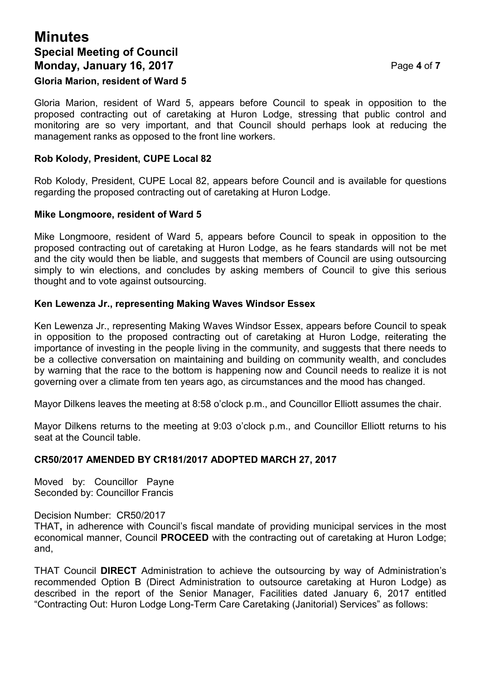## **Minutes Special Meeting of Council Monday, January 16, 2017 Page 4 of 7**

#### **Gloria Marion, resident of Ward 5**

Gloria Marion, resident of Ward 5, appears before Council to speak in opposition to the proposed contracting out of caretaking at Huron Lodge, stressing that public control and monitoring are so very important, and that Council should perhaps look at reducing the management ranks as opposed to the front line workers.

#### **Rob Kolody, President, CUPE Local 82**

Rob Kolody, President, CUPE Local 82, appears before Council and is available for questions regarding the proposed contracting out of caretaking at Huron Lodge.

#### **Mike Longmoore, resident of Ward 5**

Mike Longmoore, resident of Ward 5, appears before Council to speak in opposition to the proposed contracting out of caretaking at Huron Lodge, as he fears standards will not be met and the city would then be liable, and suggests that members of Council are using outsourcing simply to win elections, and concludes by asking members of Council to give this serious thought and to vote against outsourcing.

#### **Ken Lewenza Jr., representing Making Waves Windsor Essex**

Ken Lewenza Jr., representing Making Waves Windsor Essex, appears before Council to speak in opposition to the proposed contracting out of caretaking at Huron Lodge, reiterating the importance of investing in the people living in the community, and suggests that there needs to be a collective conversation on maintaining and building on community wealth, and concludes by warning that the race to the bottom is happening now and Council needs to realize it is not governing over a climate from ten years ago, as circumstances and the mood has changed.

Mayor Dilkens leaves the meeting at 8:58 o'clock p.m., and Councillor Elliott assumes the chair.

Mayor Dilkens returns to the meeting at 9:03 o'clock p.m., and Councillor Elliott returns to his seat at the Council table.

#### **CR50/2017 AMENDED BY CR181/2017 ADOPTED MARCH 27, 2017**

Moved by: Councillor Payne Seconded by: Councillor Francis

Decision Number: CR50/2017

THAT**,** in adherence with Council's fiscal mandate of providing municipal services in the most economical manner, Council **PROCEED** with the contracting out of caretaking at Huron Lodge; and,

THAT Council **DIRECT** Administration to achieve the outsourcing by way of Administration's recommended Option B (Direct Administration to outsource caretaking at Huron Lodge) as described in the report of the Senior Manager, Facilities dated January 6, 2017 entitled "Contracting Out: Huron Lodge Long-Term Care Caretaking (Janitorial) Services" as follows: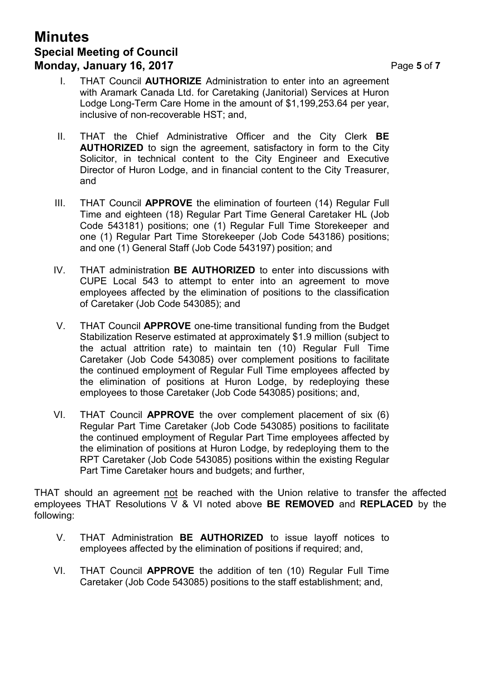## **Minutes Special Meeting of Council Monday, January 16, 2017 Page 5** of 7

- 
- I. THAT Council **AUTHORIZE** Administration to enter into an agreement with Aramark Canada Ltd. for Caretaking (Janitorial) Services at Huron Lodge Long-Term Care Home in the amount of \$1,199,253.64 per year, inclusive of non-recoverable HST; and,
- II. THAT the Chief Administrative Officer and the City Clerk **BE AUTHORIZED** to sign the agreement, satisfactory in form to the City Solicitor, in technical content to the City Engineer and Executive Director of Huron Lodge, and in financial content to the City Treasurer, and
- III. THAT Council **APPROVE** the elimination of fourteen (14) Regular Full Time and eighteen (18) Regular Part Time General Caretaker HL (Job Code 543181) positions; one (1) Regular Full Time Storekeeper and one (1) Regular Part Time Storekeeper (Job Code 543186) positions; and one (1) General Staff (Job Code 543197) position; and
- IV. THAT administration **BE AUTHORIZED** to enter into discussions with CUPE Local 543 to attempt to enter into an agreement to move employees affected by the elimination of positions to the classification of Caretaker (Job Code 543085); and
- V. THAT Council **APPROVE** one-time transitional funding from the Budget Stabilization Reserve estimated at approximately \$1.9 million (subject to the actual attrition rate) to maintain ten (10) Regular Full Time Caretaker (Job Code 543085) over complement positions to facilitate the continued employment of Regular Full Time employees affected by the elimination of positions at Huron Lodge, by redeploying these employees to those Caretaker (Job Code 543085) positions; and,
- VI. THAT Council **APPROVE** the over complement placement of six (6) Regular Part Time Caretaker (Job Code 543085) positions to facilitate the continued employment of Regular Part Time employees affected by the elimination of positions at Huron Lodge, by redeploying them to the RPT Caretaker (Job Code 543085) positions within the existing Regular Part Time Caretaker hours and budgets; and further,

THAT should an agreement not be reached with the Union relative to transfer the affected employees THAT Resolutions V & VI noted above **BE REMOVED** and **REPLACED** by the following:

- V. THAT Administration **BE AUTHORIZED** to issue layoff notices to employees affected by the elimination of positions if required; and,
- VI. THAT Council **APPROVE** the addition of ten (10) Regular Full Time Caretaker (Job Code 543085) positions to the staff establishment; and,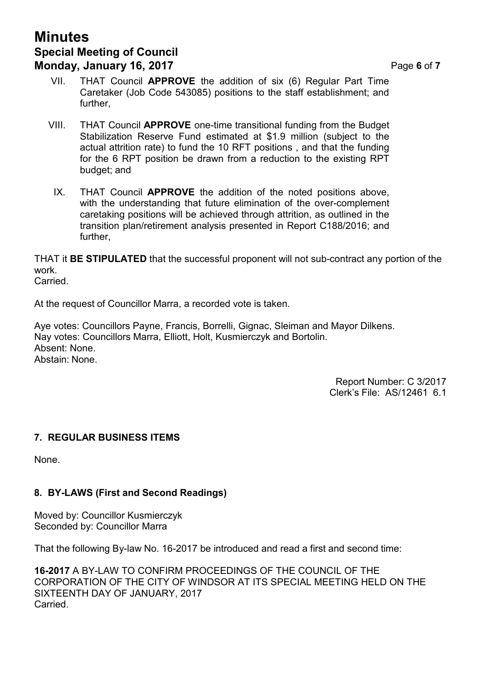## **Minutes Special Meeting of Council Monday, January 16, 2017 Page 6** of 7

- VII. THAT Council **APPROVE** the addition of six (6) Regular Part Time Caretaker (Job Code 543085) positions to the staff establishment; and further,
- VIII. THAT Council **APPROVE** one-time transitional funding from the Budget Stabilization Reserve Fund estimated at \$1.9 million (subject to the actual attrition rate) to fund the 10 RFT positions , and that the funding for the 6 RPT position be drawn from a reduction to the existing RPT budget; and
- IX. THAT Council **APPROVE** the addition of the noted positions above, with the understanding that future elimination of the over-complement caretaking positions will be achieved through attrition, as outlined in the transition plan/retirement analysis presented in Report C188/2016; and further,

THAT it **BE STIPULATED** that the successful proponent will not sub-contract any portion of the work.

Carried.

At the request of Councillor Marra, a recorded vote is taken.

Aye votes: Councillors Payne, Francis, Borrelli, Gignac, Sleiman and Mayor Dilkens. Nay votes: Councillors Marra, Elliott, Holt, Kusmierczyk and Bortolin. Absent: None. Abstain: None.

> Report Number: C 3/2017 Clerk's File: AS/12461 6.1

#### **7. REGULAR BUSINESS ITEMS**

None.

#### **8. BY-LAWS (First and Second Readings)**

Moved by: Councillor Kusmierczyk Seconded by: Councillor Marra

That the following By-law No. 16-2017 be introduced and read a first and second time:

**16-2017** A BY-LAW TO CONFIRM PROCEEDINGS OF THE COUNCIL OF THE CORPORATION OF THE CITY OF WINDSOR AT ITS SPECIAL MEETING HELD ON THE SIXTEENTH DAY OF JANUARY, 2017 Carried.